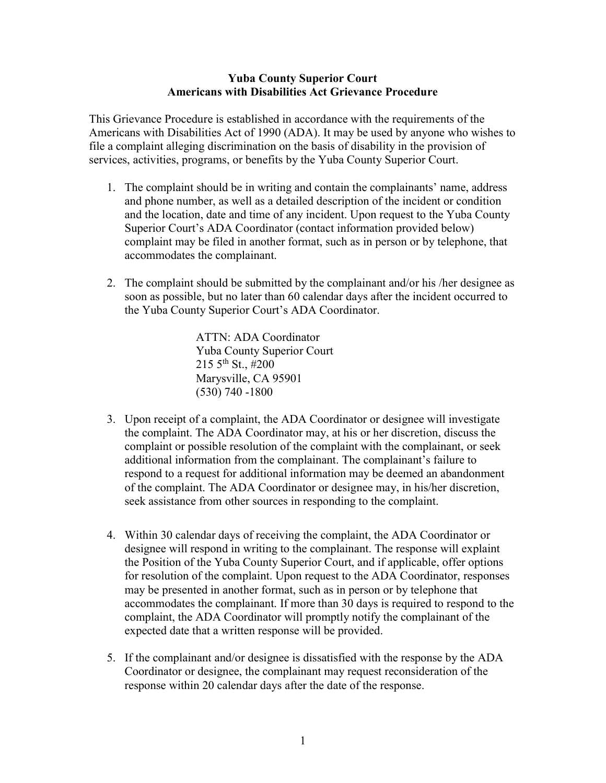## Yuba County Superior Court Americans with Disabilities Act Grievance Procedure

This Grievance Procedure is established in accordance with the requirements of the Americans with Disabilities Act of 1990 (ADA). It may be used by anyone who wishes to file a complaint alleging discrimination on the basis of disability in the provision of services, activities, programs, or benefits by the Yuba County Superior Court.

- 1. The complaint should be in writing and contain the complainants' name, address and phone number, as well as a detailed description of the incident or condition and the location, date and time of any incident. Upon request to the Yuba County Superior Court's ADA Coordinator (contact information provided below) complaint may be filed in another format, such as in person or by telephone, that accommodates the complainant.
- 2. The complaint should be submitted by the complainant and/or his /her designee as soon as possible, but no later than 60 calendar days after the incident occurred to the Yuba County Superior Court's ADA Coordinator.

ATTN: ADA Coordinator Yuba County Superior Court  $215\,5^{th}\,$  St., #200 Marysville, CA 95901 (530) 740 -1800

- 3. Upon receipt of a complaint, the ADA Coordinator or designee will investigate the complaint. The ADA Coordinator may, at his or her discretion, discuss the complaint or possible resolution of the complaint with the complainant, or seek additional information from the complainant. The complainant's failure to respond to a request for additional information may be deemed an abandonment of the complaint. The ADA Coordinator or designee may, in his/her discretion, seek assistance from other sources in responding to the complaint.
- 4. Within 30 calendar days of receiving the complaint, the ADA Coordinator or designee will respond in writing to the complainant. The response will explaint the Position of the Yuba County Superior Court, and if applicable, offer options for resolution of the complaint. Upon request to the ADA Coordinator, responses may be presented in another format, such as in person or by telephone that accommodates the complainant. If more than 30 days is required to respond to the complaint, the ADA Coordinator will promptly notify the complainant of the expected date that a written response will be provided.
- 5. If the complainant and/or designee is dissatisfied with the response by the ADA Coordinator or designee, the complainant may request reconsideration of the response within 20 calendar days after the date of the response.